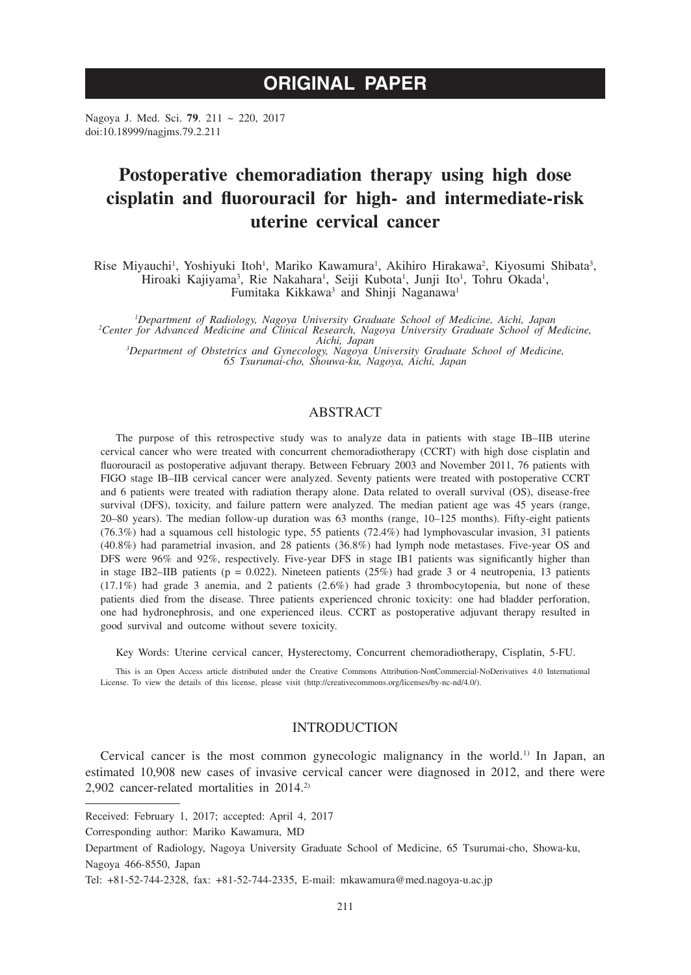# **ORIGINAL PAPER**

Nagoya J. Med. Sci. **79**. 211 ~ 220, 2017 doi:10.18999/nagjms.79.2.211

# **Postoperative chemoradiation therapy using high dose cisplatin and fluorouracil for high- and intermediate-risk uterine cervical cancer**

Rise Miyauchi<sup>1</sup>, Yoshiyuki Itoh<sup>1</sup>, Mariko Kawamura<sup>1</sup>, Akihiro Hirakawa<sup>2</sup>, Kiyosumi Shibata<sup>3</sup>, Hiroaki Kajiyama<sup>3</sup>, Rie Nakahara<sup>1</sup>, Seiji Kubota<sup>1</sup>, Junji Ito<sup>1</sup>, Tohru Okada<sup>1</sup>, Fumitaka Kikkawa<sup>3</sup> and Shinji Naganawa<sup>1</sup>

*1 Department of Radiology, Nagoya University Graduate School of Medicine, Aichi, Japan <sup>2</sup> Center for Advanced Medicine and Clinical Research, Nagoya University Graduate School of Medicine, Aichi, Japan <sup>3</sup> Department of Obstetrics and Gynecology, Nagoya University Graduate School of Medicine, 65 Tsurumai-cho, Shouwa-ku, Nagoya, Aichi, Japan*

## ABSTRACT

The purpose of this retrospective study was to analyze data in patients with stage IB–IIB uterine cervical cancer who were treated with concurrent chemoradiotherapy (CCRT) with high dose cisplatin and fluorouracil as postoperative adjuvant therapy. Between February 2003 and November 2011, 76 patients with FIGO stage IB–IIB cervical cancer were analyzed. Seventy patients were treated with postoperative CCRT and 6 patients were treated with radiation therapy alone. Data related to overall survival (OS), disease-free survival (DFS), toxicity, and failure pattern were analyzed. The median patient age was 45 years (range, 20–80 years). The median follow-up duration was 63 months (range, 10–125 months). Fifty-eight patients (76.3%) had a squamous cell histologic type, 55 patients (72.4%) had lymphovascular invasion, 31 patients (40.8%) had parametrial invasion, and 28 patients (36.8%) had lymph node metastases. Five-year OS and DFS were 96% and 92%, respectively. Five-year DFS in stage IB1 patients was significantly higher than in stage IB2–IIB patients ( $p = 0.022$ ). Nineteen patients (25%) had grade 3 or 4 neutropenia, 13 patients (17.1%) had grade 3 anemia, and 2 patients (2.6%) had grade 3 thrombocytopenia, but none of these patients died from the disease. Three patients experienced chronic toxicity: one had bladder perforation, one had hydronephrosis, and one experienced ileus. CCRT as postoperative adjuvant therapy resulted in good survival and outcome without severe toxicity.

Key Words: Uterine cervical cancer, Hysterectomy, Concurrent chemoradiotherapy, Cisplatin, 5-FU.

This is an Open Access article distributed under the Creative Commons Attribution-NonCommercial-NoDerivatives 4.0 International License. To view the details of this license, please visit (http://creativecommons.org/licenses/by-nc-nd/4.0/).

### **INTRODUCTION**

Cervical cancer is the most common gynecologic malignancy in the world.<sup>1)</sup> In Japan, an estimated 10,908 new cases of invasive cervical cancer were diagnosed in 2012, and there were 2,902 cancer-related mortalities in 2014.<sup>2)</sup>

Received: February 1, 2017; accepted: April 4, 2017

Corresponding author: Mariko Kawamura, MD

Department of Radiology, Nagoya University Graduate School of Medicine, 65 Tsurumai-cho, Showa-ku, Nagoya 466-8550, Japan

Tel: +81-52-744-2328, fax: +81-52-744-2335, E-mail: mkawamura@med.nagoya-u.ac.jp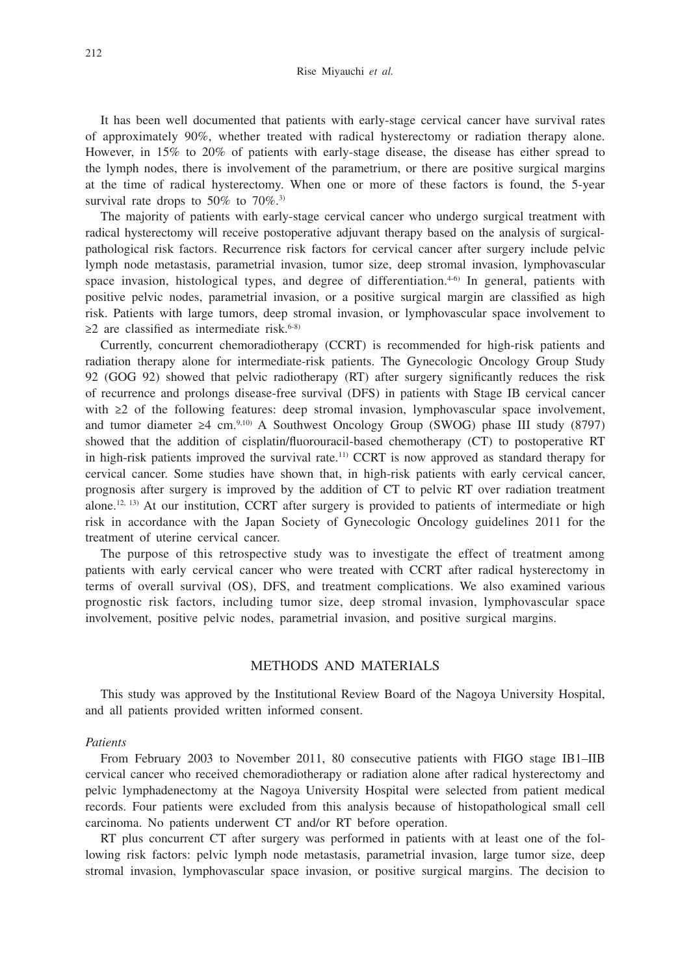It has been well documented that patients with early-stage cervical cancer have survival rates of approximately 90%, whether treated with radical hysterectomy or radiation therapy alone. However, in 15% to 20% of patients with early-stage disease, the disease has either spread to the lymph nodes, there is involvement of the parametrium, or there are positive surgical margins at the time of radical hysterectomy. When one or more of these factors is found, the 5-year survival rate drops to  $50\%$  to  $70\%$ .<sup>3)</sup>

The majority of patients with early-stage cervical cancer who undergo surgical treatment with radical hysterectomy will receive postoperative adjuvant therapy based on the analysis of surgicalpathological risk factors. Recurrence risk factors for cervical cancer after surgery include pelvic lymph node metastasis, parametrial invasion, tumor size, deep stromal invasion, lymphovascular space invasion, histological types, and degree of differentiation. $4-6$  In general, patients with positive pelvic nodes, parametrial invasion, or a positive surgical margin are classified as high risk. Patients with large tumors, deep stromal invasion, or lymphovascular space involvement to  $\geq$ 2 are classified as intermediate risk.<sup>6-8)</sup>

Currently, concurrent chemoradiotherapy (CCRT) is recommended for high-risk patients and radiation therapy alone for intermediate-risk patients. The Gynecologic Oncology Group Study 92 (GOG 92) showed that pelvic radiotherapy (RT) after surgery significantly reduces the risk of recurrence and prolongs disease-free survival (DFS) in patients with Stage IB cervical cancer with ≥2 of the following features: deep stromal invasion, lymphovascular space involvement, and tumor diameter ≥4 cm.9,10) A Southwest Oncology Group (SWOG) phase III study (8797) showed that the addition of cisplatin/fluorouracil-based chemotherapy (CT) to postoperative RT in high-risk patients improved the survival rate.11) CCRT is now approved as standard therapy for cervical cancer. Some studies have shown that, in high-risk patients with early cervical cancer, prognosis after surgery is improved by the addition of CT to pelvic RT over radiation treatment alone.<sup>12, 13)</sup> At our institution, CCRT after surgery is provided to patients of intermediate or high risk in accordance with the Japan Society of Gynecologic Oncology guidelines 2011 for the treatment of uterine cervical cancer.

The purpose of this retrospective study was to investigate the effect of treatment among patients with early cervical cancer who were treated with CCRT after radical hysterectomy in terms of overall survival (OS), DFS, and treatment complications. We also examined various prognostic risk factors, including tumor size, deep stromal invasion, lymphovascular space involvement, positive pelvic nodes, parametrial invasion, and positive surgical margins.

## METHODS AND MATERIALS

This study was approved by the Institutional Review Board of the Nagoya University Hospital, and all patients provided written informed consent.

#### *Patients*

From February 2003 to November 2011, 80 consecutive patients with FIGO stage IB1–IIB cervical cancer who received chemoradiotherapy or radiation alone after radical hysterectomy and pelvic lymphadenectomy at the Nagoya University Hospital were selected from patient medical records. Four patients were excluded from this analysis because of histopathological small cell carcinoma. No patients underwent CT and/or RT before operation.

RT plus concurrent CT after surgery was performed in patients with at least one of the following risk factors: pelvic lymph node metastasis, parametrial invasion, large tumor size, deep stromal invasion, lymphovascular space invasion, or positive surgical margins. The decision to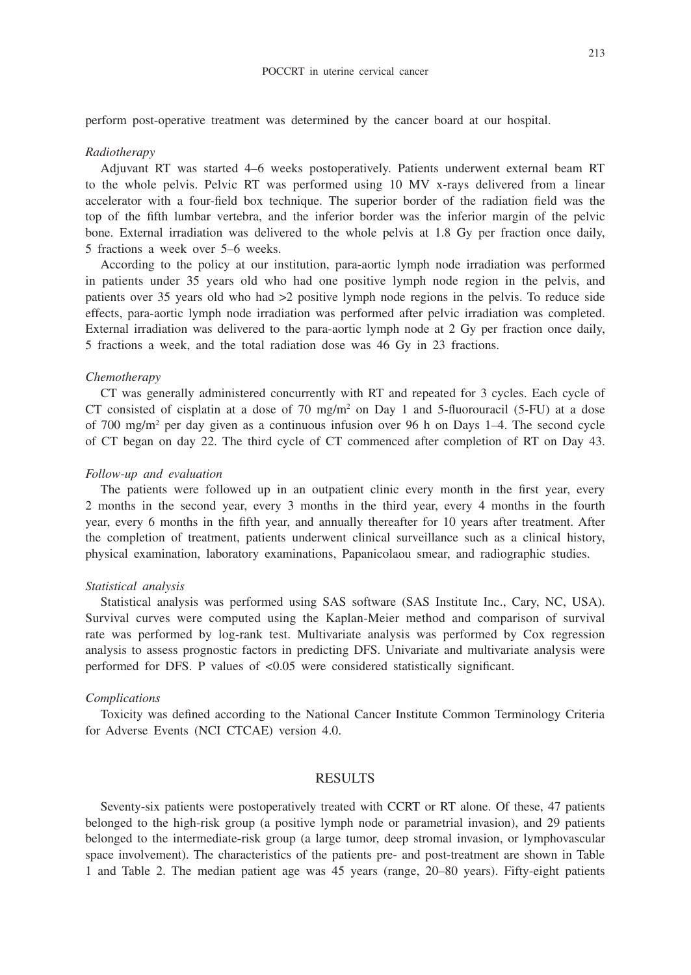perform post-operative treatment was determined by the cancer board at our hospital.

#### *Radiotherapy*

Adjuvant RT was started 4–6 weeks postoperatively. Patients underwent external beam RT to the whole pelvis. Pelvic RT was performed using 10 MV x-rays delivered from a linear accelerator with a four-field box technique. The superior border of the radiation field was the top of the fifth lumbar vertebra, and the inferior border was the inferior margin of the pelvic bone. External irradiation was delivered to the whole pelvis at 1.8 Gy per fraction once daily, 5 fractions a week over 5–6 weeks.

According to the policy at our institution, para-aortic lymph node irradiation was performed in patients under 35 years old who had one positive lymph node region in the pelvis, and patients over 35 years old who had >2 positive lymph node regions in the pelvis. To reduce side effects, para-aortic lymph node irradiation was performed after pelvic irradiation was completed. External irradiation was delivered to the para-aortic lymph node at 2 Gy per fraction once daily, 5 fractions a week, and the total radiation dose was 46 Gy in 23 fractions.

#### *Chemotherapy*

CT was generally administered concurrently with RT and repeated for 3 cycles. Each cycle of CT consisted of cisplatin at a dose of 70 mg/m<sup>2</sup> on Day 1 and 5-fluorouracil (5-FU) at a dose of 700 mg/m<sup>2</sup> per day given as a continuous infusion over 96 h on Days 1–4. The second cycle of CT began on day 22. The third cycle of CT commenced after completion of RT on Day 43.

#### *Follow-up and evaluation*

The patients were followed up in an outpatient clinic every month in the first year, every 2 months in the second year, every 3 months in the third year, every 4 months in the fourth year, every 6 months in the fifth year, and annually thereafter for 10 years after treatment. After the completion of treatment, patients underwent clinical surveillance such as a clinical history, physical examination, laboratory examinations, Papanicolaou smear, and radiographic studies.

#### *Statistical analysis*

Statistical analysis was performed using SAS software (SAS Institute Inc., Cary, NC, USA). Survival curves were computed using the Kaplan-Meier method and comparison of survival rate was performed by log-rank test. Multivariate analysis was performed by Cox regression analysis to assess prognostic factors in predicting DFS. Univariate and multivariate analysis were performed for DFS. P values of <0.05 were considered statistically significant.

#### *Complications*

Toxicity was defined according to the National Cancer Institute Common Terminology Criteria for Adverse Events (NCI CTCAE) version 4.0.

#### RESULTS

Seventy-six patients were postoperatively treated with CCRT or RT alone. Of these, 47 patients belonged to the high-risk group (a positive lymph node or parametrial invasion), and 29 patients belonged to the intermediate-risk group (a large tumor, deep stromal invasion, or lymphovascular space involvement). The characteristics of the patients pre- and post-treatment are shown in Table 1 and Table 2. The median patient age was 45 years (range, 20–80 years). Fifty-eight patients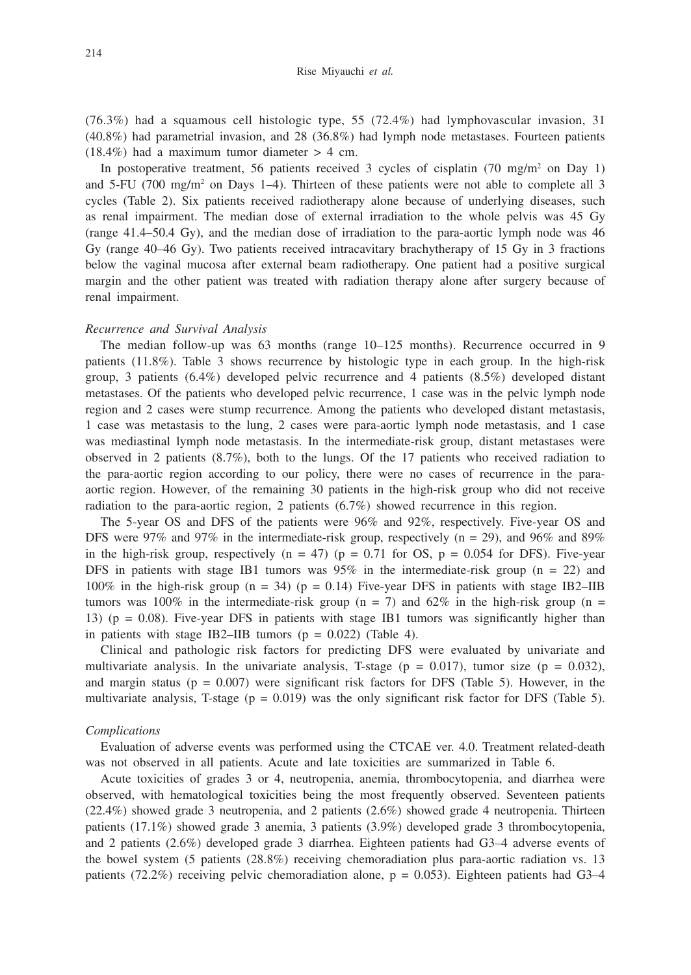(76.3%) had a squamous cell histologic type, 55 (72.4%) had lymphovascular invasion, 31 (40.8%) had parametrial invasion, and 28 (36.8%) had lymph node metastases. Fourteen patients  $(18.4\%)$  had a maximum tumor diameter  $> 4$  cm.

In postoperative treatment, 56 patients received 3 cycles of cisplatin  $(70 \text{ mg/m}^2 \text{ on Day } 1)$ and  $5$ -FU (700 mg/m<sup>2</sup> on Days 1–4). Thirteen of these patients were not able to complete all 3 cycles (Table 2). Six patients received radiotherapy alone because of underlying diseases, such as renal impairment. The median dose of external irradiation to the whole pelvis was 45 Gy (range 41.4–50.4 Gy), and the median dose of irradiation to the para-aortic lymph node was 46 Gy (range 40–46 Gy). Two patients received intracavitary brachytherapy of 15 Gy in 3 fractions below the vaginal mucosa after external beam radiotherapy. One patient had a positive surgical margin and the other patient was treated with radiation therapy alone after surgery because of renal impairment.

#### *Recurrence and Survival Analysis*

The median follow-up was 63 months (range 10–125 months). Recurrence occurred in 9 patients (11.8%). Table 3 shows recurrence by histologic type in each group. In the high-risk group, 3 patients (6.4%) developed pelvic recurrence and 4 patients (8.5%) developed distant metastases. Of the patients who developed pelvic recurrence, 1 case was in the pelvic lymph node region and 2 cases were stump recurrence. Among the patients who developed distant metastasis, 1 case was metastasis to the lung, 2 cases were para-aortic lymph node metastasis, and 1 case was mediastinal lymph node metastasis. In the intermediate-risk group, distant metastases were observed in 2 patients  $(8.7\%)$ , both to the lungs. Of the 17 patients who received radiation to the para-aortic region according to our policy, there were no cases of recurrence in the paraaortic region. However, of the remaining 30 patients in the high-risk group who did not receive radiation to the para-aortic region, 2 patients (6.7%) showed recurrence in this region.

The 5-year OS and DFS of the patients were 96% and 92%, respectively. Five-year OS and DFS were 97% and 97% in the intermediate-risk group, respectively ( $n = 29$ ), and 96% and 89% in the high-risk group, respectively ( $n = 47$ ) ( $p = 0.71$  for OS,  $p = 0.054$  for DFS). Five-year DFS in patients with stage IB1 tumors was  $95\%$  in the intermediate-risk group (n = 22) and 100% in the high-risk group (n = 34) (p = 0.14) Five-year DFS in patients with stage IB2–IIB tumors was 100% in the intermediate-risk group (n = 7) and 62% in the high-risk group (n = 13) ( $p = 0.08$ ). Five-year DFS in patients with stage IB1 tumors was significantly higher than in patients with stage IB2–IIB tumors  $(p = 0.022)$  (Table 4).

Clinical and pathologic risk factors for predicting DFS were evaluated by univariate and multivariate analysis. In the univariate analysis, T-stage ( $p = 0.017$ ), tumor size ( $p = 0.032$ ), and margin status ( $p = 0.007$ ) were significant risk factors for DFS (Table 5). However, in the multivariate analysis, T-stage ( $p = 0.019$ ) was the only significant risk factor for DFS (Table 5).

#### *Complications*

Evaluation of adverse events was performed using the CTCAE ver. 4.0. Treatment related-death was not observed in all patients. Acute and late toxicities are summarized in Table 6.

Acute toxicities of grades 3 or 4, neutropenia, anemia, thrombocytopenia, and diarrhea were observed, with hematological toxicities being the most frequently observed. Seventeen patients (22.4%) showed grade 3 neutropenia, and 2 patients (2.6%) showed grade 4 neutropenia. Thirteen patients (17.1%) showed grade 3 anemia, 3 patients (3.9%) developed grade 3 thrombocytopenia, and 2 patients (2.6%) developed grade 3 diarrhea. Eighteen patients had G3–4 adverse events of the bowel system (5 patients (28.8%) receiving chemoradiation plus para-aortic radiation vs. 13 patients (72.2%) receiving pelvic chemoradiation alone,  $p = 0.053$ ). Eighteen patients had G3-4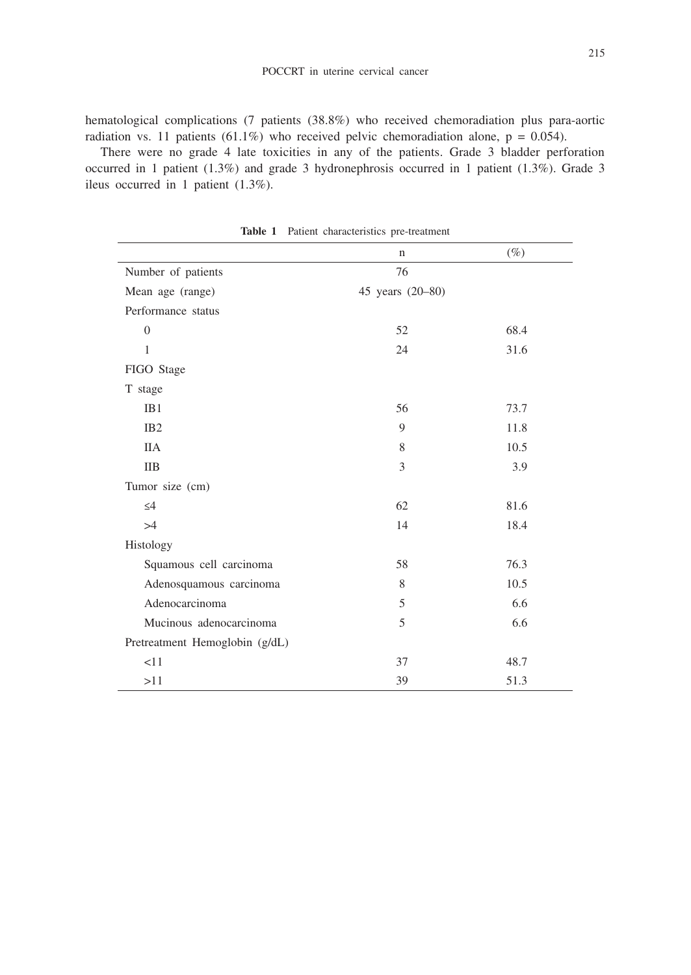hematological complications (7 patients (38.8%) who received chemoradiation plus para-aortic radiation vs. 11 patients (61.1%) who received pelvic chemoradiation alone,  $p = 0.054$ ).

There were no grade 4 late toxicities in any of the patients. Grade 3 bladder perforation occurred in 1 patient (1.3%) and grade 3 hydronephrosis occurred in 1 patient (1.3%). Grade 3 ileus occurred in 1 patient (1.3%).

|                                | $\mathbf n$      | $(\%)$ |  |
|--------------------------------|------------------|--------|--|
| Number of patients             | 76               |        |  |
| Mean age (range)               | 45 years (20-80) |        |  |
| Performance status             |                  |        |  |
| $\overline{0}$                 | 52               | 68.4   |  |
| $\mathbf{1}$                   | 24               | 31.6   |  |
| FIGO Stage                     |                  |        |  |
| T stage                        |                  |        |  |
| IB1                            | 56               | 73.7   |  |
| IB <sub>2</sub>                | 9                | 11.8   |  |
| <b>IIA</b>                     | 8                | 10.5   |  |
| <b>IIB</b>                     | 3                | 3.9    |  |
| Tumor size (cm)                |                  |        |  |
| $\leq 4$                       | 62               | 81.6   |  |
| >4                             | 14               | 18.4   |  |
| Histology                      |                  |        |  |
| Squamous cell carcinoma        | 58               | 76.3   |  |
| Adenosquamous carcinoma        | 8                | 10.5   |  |
| Adenocarcinoma                 | 5                | 6.6    |  |
| Mucinous adenocarcinoma        | 5                | 6.6    |  |
| Pretreatment Hemoglobin (g/dL) |                  |        |  |
| <11                            | 37               | 48.7   |  |
| >11                            | 39               | 51.3   |  |

**Table 1** Patient characteristics pre-treatment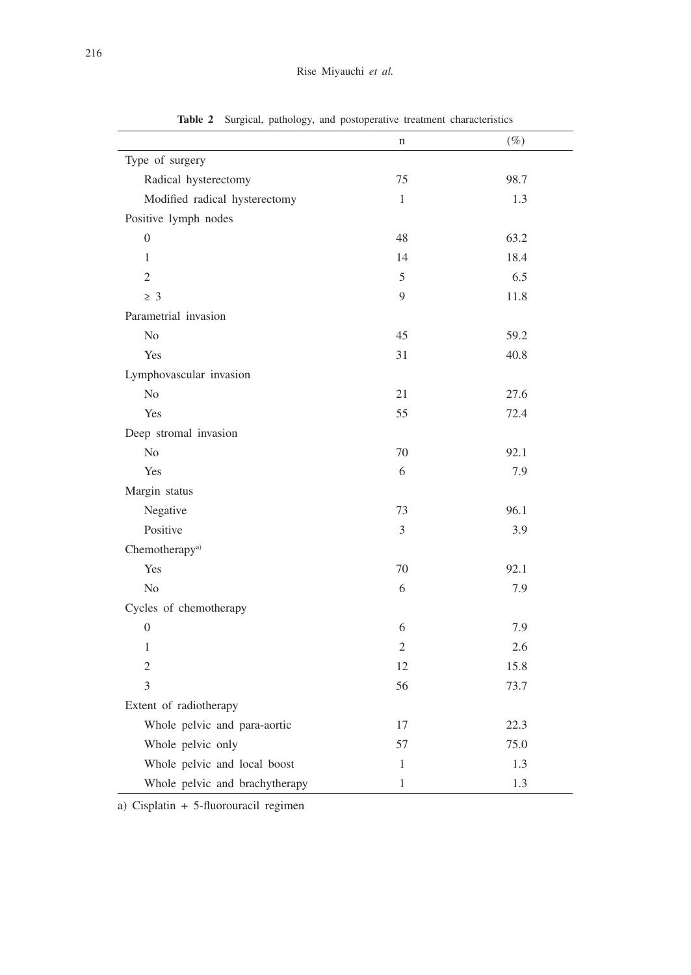|                                | $\mathbf n$    | $(\%)$ |  |  |
|--------------------------------|----------------|--------|--|--|
| Type of surgery                |                |        |  |  |
| Radical hysterectomy           | 75             | 98.7   |  |  |
| Modified radical hysterectomy  | $\mathbf{1}$   | 1.3    |  |  |
| Positive lymph nodes           |                |        |  |  |
| $\boldsymbol{0}$               | 48             | 63.2   |  |  |
| 1                              | 14             | 18.4   |  |  |
| $\overline{2}$                 | 5              | 6.5    |  |  |
| $\geq 3$                       | 9              | 11.8   |  |  |
| Parametrial invasion           |                |        |  |  |
| No                             | 45             | 59.2   |  |  |
| Yes                            | 31             | 40.8   |  |  |
| Lymphovascular invasion        |                |        |  |  |
| N <sub>o</sub>                 | 21             | 27.6   |  |  |
| Yes                            | 55             | 72.4   |  |  |
| Deep stromal invasion          |                |        |  |  |
| No                             | 70             | 92.1   |  |  |
| Yes                            | 6              | 7.9    |  |  |
| Margin status                  |                |        |  |  |
| Negative                       | 73             | 96.1   |  |  |
| Positive                       | 3              | 3.9    |  |  |
| Chemotherapy <sup>a)</sup>     |                |        |  |  |
| Yes                            | 70             | 92.1   |  |  |
| $\rm No$                       | 6              | 7.9    |  |  |
| Cycles of chemotherapy         |                |        |  |  |
| $\overline{0}$                 | 6              | 7.9    |  |  |
| $\mathbf{1}$                   | $\overline{2}$ | 2.6    |  |  |
| $\overline{2}$                 | 12             | 15.8   |  |  |
| 3                              | 56             | 73.7   |  |  |
| Extent of radiotherapy         |                |        |  |  |
| Whole pelvic and para-aortic   | 17             | 22.3   |  |  |
| Whole pelvic only              | 57             | 75.0   |  |  |
| Whole pelvic and local boost   | $\mathbf{1}$   | 1.3    |  |  |
| Whole pelvic and brachytherapy | $\mathbf{1}$   | 1.3    |  |  |

**Table 2** Surgical, pathology, and postoperative treatment characteristics

a) Cisplatin + 5-fluorouracil regimen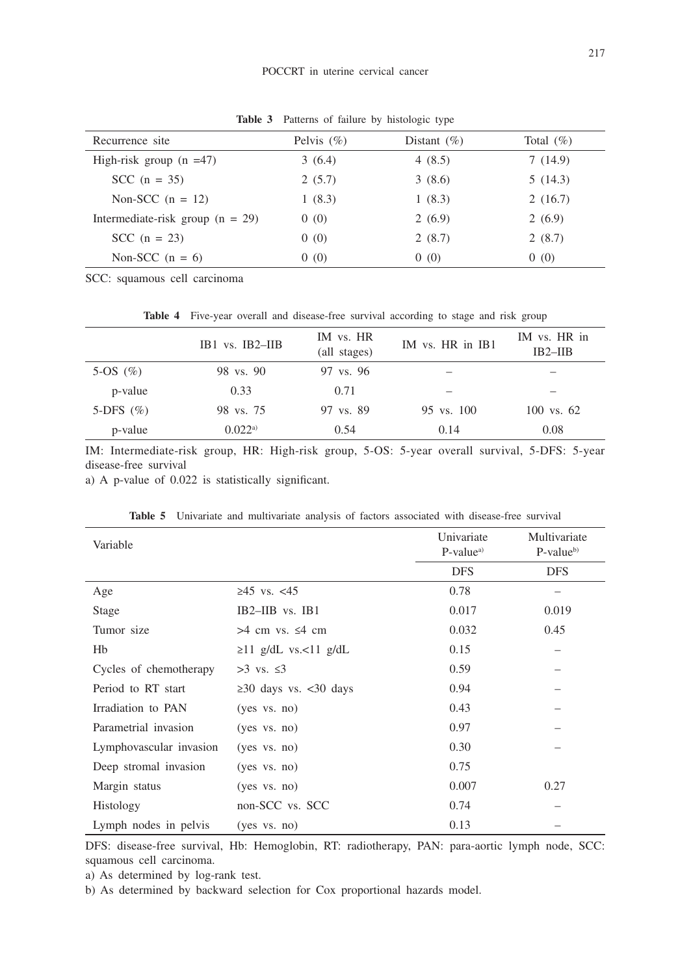| Recurrence site                    | Pelvis $(\% )$ | Distant $(\%)$ | Total $(\% )$ |
|------------------------------------|----------------|----------------|---------------|
| High-risk group $(n = 47)$         | 3(6.4)         | 4 $(8.5)$      | 7(14.9)       |
| SCC $(n = 35)$                     | 2(5.7)         | 3(8.6)         | 5(14.3)       |
| Non-SCC $(n = 12)$                 | 1(8.3)         | 1(8.3)         | 2(16.7)       |
| Intermediate-risk group $(n = 29)$ | 0(0)           | 2(6.9)         | 2(6.9)        |
| $SCC$ (n = 23)                     | 0(0)           | 2(8.7)         | 2(8.7)        |
| Non-SCC $(n = 6)$                  | 0(0)           | 0(0)           | 0(0)          |

**Table 3** Patterns of failure by histologic type

SCC: squamous cell carcinoma

**Table 4** Five-year overall and disease-free survival according to stage and risk group

|              | $IB1$ vs. $IB2$ -IIB | IM vs. HR<br>(all stages) | IM vs. HR in IB1 | IM vs. HR in<br>IB2–IIB |
|--------------|----------------------|---------------------------|------------------|-------------------------|
| 5-OS $(\% )$ | 98 vs. 90            | 97 vs. 96                 |                  |                         |
| p-value      | 0.33                 | 0.71                      |                  |                         |
| 5-DFS $(\%)$ | 98 vs. 75            | 97 vs. 89                 | 95 vs. 100       | $100$ vs. 62            |
| p-value      | 0.022a               | 0.54                      | 0.14             | 0.08                    |

IM: Intermediate-risk group, HR: High-risk group, 5-OS: 5-year overall survival, 5-DFS: 5-year disease-free survival

a) A p-value of 0.022 is statistically significant.

| Variable                |                             | Univariate<br>$P-valuea$ | Multivariate<br>$P-valueb$ |
|-------------------------|-----------------------------|--------------------------|----------------------------|
|                         |                             | <b>DFS</b>               | <b>DFS</b>                 |
| Age                     | ≥45 vs. $<45$               | 0.78                     |                            |
| Stage                   | $IB2–IIB$ vs. $IB1$         | 0.017                    | 0.019                      |
| Tumor size              | $>4$ cm vs. $\leq 4$ cm     | 0.032                    | 0.45                       |
| Hb                      | $\geq$ 11 g/dL vs.<11 g/dL  | 0.15                     |                            |
| Cycles of chemotherapy  | $>3$ vs. $\leq 3$           | 0.59                     |                            |
| Period to RT start      | $\geq$ 30 days vs. <30 days | 0.94                     |                            |
| Irradiation to PAN      | $(yes \ vs. \ no)$          | 0.43                     |                            |
| Parametrial invasion    | $(yes \ vs. \ no)$          | 0.97                     |                            |
| Lymphovascular invasion | $(yes \ vs. \ no)$          | 0.30                     |                            |
| Deep stromal invasion   | $(yes \ vs. \ no)$          | 0.75                     |                            |
| Margin status           | $(yes \ vs. \ no)$          | 0.007                    | 0.27                       |
| Histology               | non-SCC vs. SCC             | 0.74                     |                            |
| Lymph nodes in pelvis   | $(yes \ vs. \ no)$          | 0.13                     |                            |

**Table 5** Univariate and multivariate analysis of factors associated with disease-free survival

DFS: disease-free survival, Hb: Hemoglobin, RT: radiotherapy, PAN: para-aortic lymph node, SCC: squamous cell carcinoma.

a) As determined by log-rank test.

b) As determined by backward selection for Cox proportional hazards model.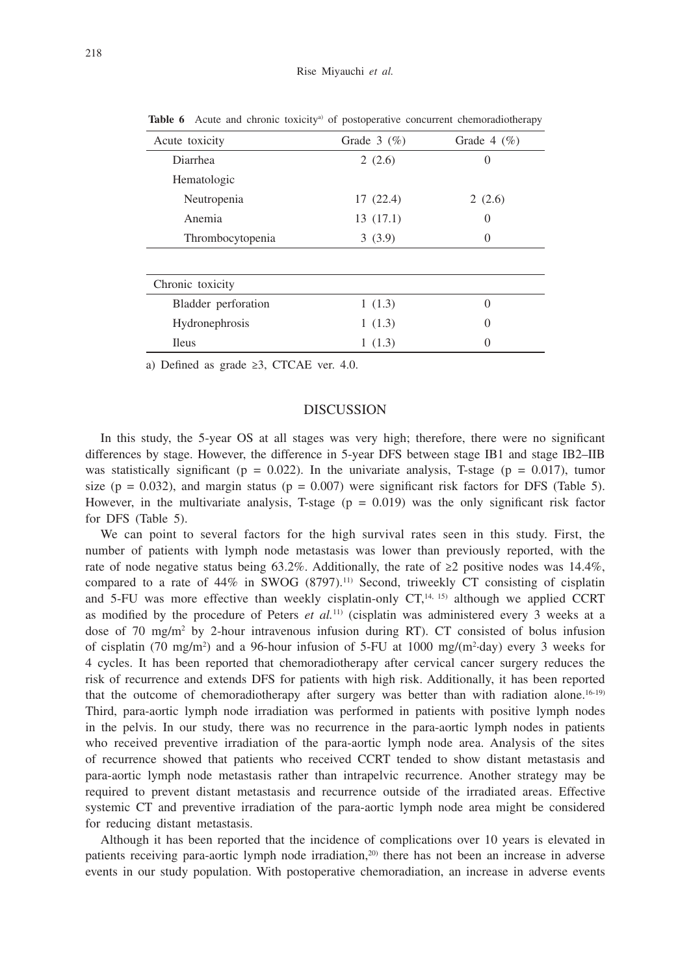| Acute toxicity      | Grade $3 \ (\%)$ | Grade $4 \ (\%)$ |
|---------------------|------------------|------------------|
| Diarrhea            | 2(2.6)           | 0                |
| Hematologic         |                  |                  |
| Neutropenia         | 17(22.4)         | 2(2.6)           |
| Anemia              | 13(17.1)         | 0                |
| Thrombocytopenia    | 3(3.9)           | $\theta$         |
|                     |                  |                  |
| Chronic toxicity    |                  |                  |
| Bladder perforation | 1(1.3)           | $\Omega$         |
| Hydronephrosis      | 1(1.3)           | $\theta$         |
| <b>Ileus</b>        | 1(1.3)           | 0                |

**Table 6** Acute and chronic toxicity<sup>a)</sup> of postoperative concurrent chemoradiotherapy

a) Defined as grade ≥3, CTCAE ver. 4.0.

#### DISCUSSION

In this study, the 5-year OS at all stages was very high; therefore, there were no significant differences by stage. However, the difference in 5-year DFS between stage IB1 and stage IB2–IIB was statistically significant ( $p = 0.022$ ). In the univariate analysis, T-stage ( $p = 0.017$ ), tumor size (p = 0.032), and margin status (p = 0.007) were significant risk factors for DFS (Table 5). However, in the multivariate analysis, T-stage  $(p = 0.019)$  was the only significant risk factor for DFS (Table 5).

We can point to several factors for the high survival rates seen in this study. First, the number of patients with lymph node metastasis was lower than previously reported, with the rate of node negative status being 63.2%. Additionally, the rate of  $\geq 2$  positive nodes was 14.4%, compared to a rate of  $44\%$  in SWOG (8797).<sup>11)</sup> Second, triweekly CT consisting of cisplatin and 5-FU was more effective than weekly cisplatin-only  $CT<sub>1</sub><sup>14, 15</sup>$  although we applied CCRT as modified by the procedure of Peters *et al.*11) (cisplatin was administered every 3 weeks at a dose of 70 mg/m<sup>2</sup> by 2-hour intravenous infusion during RT). CT consisted of bolus infusion of cisplatin (70 mg/m<sup>2</sup>) and a 96-hour infusion of 5-FU at 1000 mg/(m<sup>2</sup>·day) every 3 weeks for 4 cycles. It has been reported that chemoradiotherapy after cervical cancer surgery reduces the risk of recurrence and extends DFS for patients with high risk. Additionally, it has been reported that the outcome of chemoradiotherapy after surgery was better than with radiation alone.<sup>16-19)</sup> Third, para-aortic lymph node irradiation was performed in patients with positive lymph nodes in the pelvis. In our study, there was no recurrence in the para-aortic lymph nodes in patients who received preventive irradiation of the para-aortic lymph node area. Analysis of the sites of recurrence showed that patients who received CCRT tended to show distant metastasis and para-aortic lymph node metastasis rather than intrapelvic recurrence. Another strategy may be required to prevent distant metastasis and recurrence outside of the irradiated areas. Effective systemic CT and preventive irradiation of the para-aortic lymph node area might be considered for reducing distant metastasis.

Although it has been reported that the incidence of complications over 10 years is elevated in patients receiving para-aortic lymph node irradiation,<sup>20)</sup> there has not been an increase in adverse events in our study population. With postoperative chemoradiation, an increase in adverse events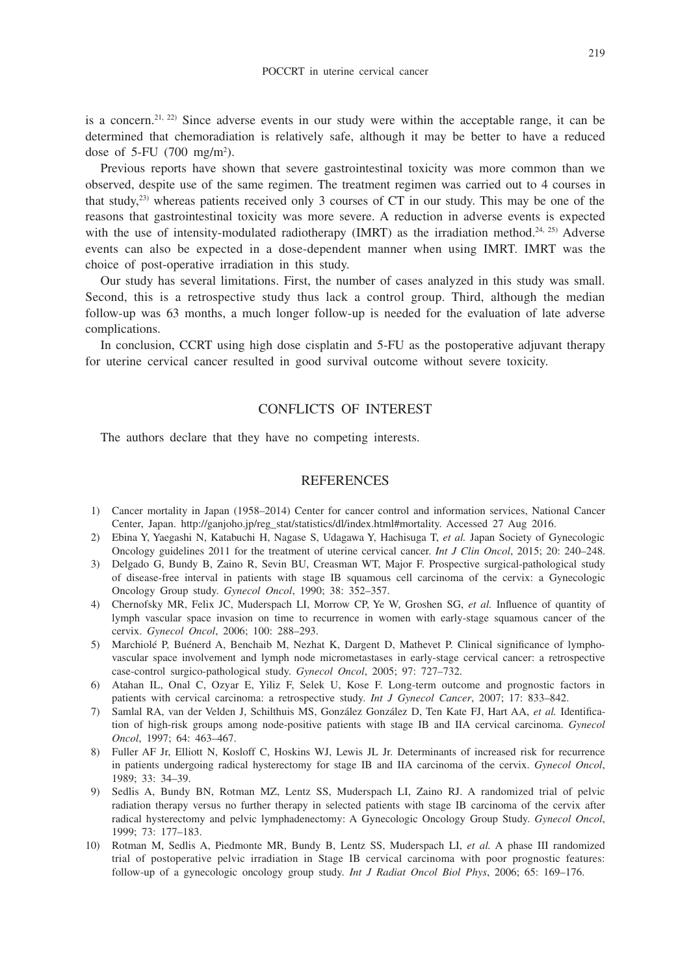is a concern.<sup>21, 22)</sup> Since adverse events in our study were within the acceptable range, it can be determined that chemoradiation is relatively safe, although it may be better to have a reduced dose of 5-FU  $(700 \text{ mg/m}^2)$ .

Previous reports have shown that severe gastrointestinal toxicity was more common than we observed, despite use of the same regimen. The treatment regimen was carried out to 4 courses in that study, $^{23}$ ) whereas patients received only 3 courses of CT in our study. This may be one of the reasons that gastrointestinal toxicity was more severe. A reduction in adverse events is expected with the use of intensity-modulated radiotherapy (IMRT) as the irradiation method.<sup>24, 25</sup>) Adverse events can also be expected in a dose-dependent manner when using IMRT. IMRT was the choice of post-operative irradiation in this study.

Our study has several limitations. First, the number of cases analyzed in this study was small. Second, this is a retrospective study thus lack a control group. Third, although the median follow-up was 63 months, a much longer follow-up is needed for the evaluation of late adverse complications.

In conclusion, CCRT using high dose cisplatin and 5-FU as the postoperative adjuvant therapy for uterine cervical cancer resulted in good survival outcome without severe toxicity.

## CONFLICTS OF INTEREST

The authors declare that they have no competing interests.

### **REFERENCES**

- 1) Cancer mortality in Japan (1958–2014) Center for cancer control and information services, National Cancer Center, Japan. http://ganjoho.jp/reg\_stat/statistics/dl/index.html#mortality. Accessed 27 Aug 2016.
- 2) Ebina Y, Yaegashi N, Katabuchi H, Nagase S, Udagawa Y, Hachisuga T, *et al.* Japan Society of Gynecologic Oncology guidelines 2011 for the treatment of uterine cervical cancer. *Int J Clin Oncol*, 2015; 20: 240–248.
- 3) Delgado G, Bundy B, Zaino R, Sevin BU, Creasman WT, Major F. Prospective surgical-pathological study of disease-free interval in patients with stage IB squamous cell carcinoma of the cervix: a Gynecologic Oncology Group study. *Gynecol Oncol*, 1990; 38: 352–357.
- 4) Chernofsky MR, Felix JC, Muderspach LI, Morrow CP, Ye W, Groshen SG, *et al.* Influence of quantity of lymph vascular space invasion on time to recurrence in women with early-stage squamous cancer of the cervix. *Gynecol Oncol*, 2006; 100: 288–293.
- 5) Marchiolé P, Buénerd A, Benchaib M, Nezhat K, Dargent D, Mathevet P. Clinical significance of lymphovascular space involvement and lymph node micrometastases in early-stage cervical cancer: a retrospective case-control surgico-pathological study. *Gynecol Oncol*, 2005; 97: 727–732.
- 6) Atahan IL, Onal C, Ozyar E, Yiliz F, Selek U, Kose F. Long-term outcome and prognostic factors in patients with cervical carcinoma: a retrospective study. *Int J Gynecol Cancer*, 2007; 17: 833–842.
- 7) Samlal RA, van der Velden J, Schilthuis MS, González González D, Ten Kate FJ, Hart AA, *et al.* Identification of high-risk groups among node-positive patients with stage IB and IIA cervical carcinoma. *Gynecol Oncol*, 1997; 64: 463–467.
- 8) Fuller AF Jr, Elliott N, Kosloff C, Hoskins WJ, Lewis JL Jr. Determinants of increased risk for recurrence in patients undergoing radical hysterectomy for stage IB and IIA carcinoma of the cervix. *Gynecol Oncol*, 1989; 33: 34–39.
- 9) Sedlis A, Bundy BN, Rotman MZ, Lentz SS, Muderspach LI, Zaino RJ. A randomized trial of pelvic radiation therapy versus no further therapy in selected patients with stage IB carcinoma of the cervix after radical hysterectomy and pelvic lymphadenectomy: A Gynecologic Oncology Group Study. *Gynecol Oncol*, 1999; 73: 177–183.
- 10) Rotman M, Sedlis A, Piedmonte MR, Bundy B, Lentz SS, Muderspach LI, *et al.* A phase III randomized trial of postoperative pelvic irradiation in Stage IB cervical carcinoma with poor prognostic features: follow-up of a gynecologic oncology group study. *Int J Radiat Oncol Biol Phys*, 2006; 65: 169–176.